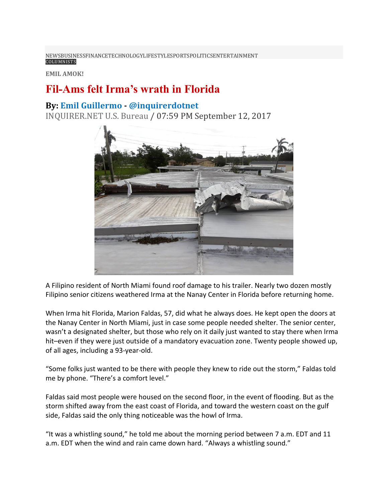[NEWS](https://usa.inquirer.net/)[BUSINESS](https://usa.inquirer.net/category/business)[FINANCE](https://usa.inquirer.net/category/finance)[TECHNOLOGY](https://usa.inquirer.net/category/tech)[LIFESTYLE](https://usa.inquirer.net/category/lifestyle)[SPORTS](https://usa.inquirer.net/category/sports)[POLITICS](https://usa.inquirer.net/6621/fil-ams-felt-irmas-wrath-florida)[ENTERTAINMENT](https://usa.inquirer.net/category/entertainment) [COLUMNISTS](https://usa.inquirer.net/category/columnists)

**EMIL AMOK!**

## **Fil-Ams felt Irma's wrath in Florida**

## **By: Emil [Guillermo](https://usa.inquirer.net/byline/emil-guillermo) - [@inquirerdotnet](http://www.twitter.com/@inquirerdotnet)**

[INQUIRER.NET](https://usa.inquirer.net/source/inquirer-net-u-s-bureau) U.S. Bureau / 07:59 PM September 12, 2017



A Filipino resident of North Miami found roof damage to his trailer. Nearly two dozen mostly Filipino senior citizens weathered Irma at the Nanay Center in Florida before returning home.

When Irma hit Florida, Marion Faldas, 57, did what he always does. He kept open the doors at the Nanay Center in North Miami, just in case some people needed shelter. The senior center, wasn't a designated shelter, but those who rely on it daily just wanted to stay there when Irma hit–even if they were just outside of a mandatory evacuation zone. Twenty people showed up, of all ages, including a 93-year-old.

"Some folks just wanted to be there with people they knew to ride out the storm," Faldas told me by phone. "There's a comfort level."

Faldas said most people were housed on the second floor, in the event of flooding. But as the storm shifted away from the east coast of Florida, and toward the western coast on the gulf side, Faldas said the only thing noticeable was the howl of Irma.

"It was a whistling sound," he told me about the morning period between 7 a.m. EDT and 11 a.m. EDT when the wind and rain came down hard. "Always a whistling sound."